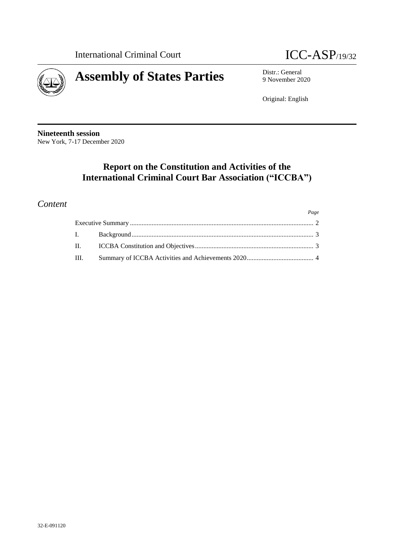

*Page*



9 November 2020

Original: English

**Nineteenth session** New York, 7-17 December 2020

# **Report on the Constitution and Activities of the International Criminal Court Bar Association ("ICCBA")**

## *Content*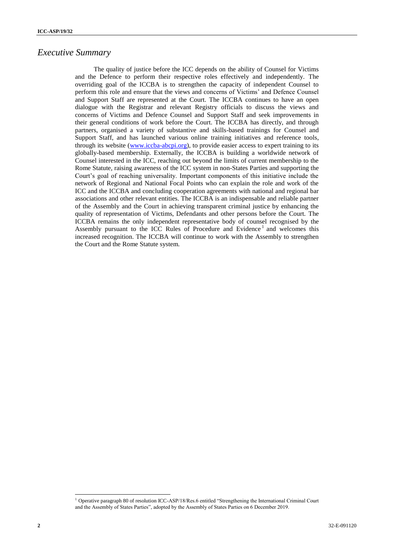#### *Executive Summary*

The quality of justice before the ICC depends on the ability of Counsel for Victims and the Defence to perform their respective roles effectively and independently. The overriding goal of the ICCBA is to strengthen the capacity of independent Counsel to perform this role and ensure that the views and concerns of Victims' and Defence Counsel and Support Staff are represented at the Court. The ICCBA continues to have an open dialogue with the Registrar and relevant Registry officials to discuss the views and concerns of Victims and Defence Counsel and Support Staff and seek improvements in their general conditions of work before the Court. The ICCBA has directly, and through partners, organised a variety of substantive and skills-based trainings for Counsel and Support Staff, and has launched various online training initiatives and reference tools, through its website [\(www.iccba-abcpi.org\)](http://www.iccba-abcpi.org/), to provide easier access to expert training to its globally-based membership. Externally, the ICCBA is building a worldwide network of Counsel interested in the ICC, reaching out beyond the limits of current membership to the Rome Statute, raising awareness of the ICC system in non-States Parties and supporting the Court's goal of reaching universality. Important components of this initiative include the network of Regional and National Focal Points who can explain the role and work of the ICC and the ICCBA and concluding cooperation agreements with national and regional bar associations and other relevant entities. The ICCBA is an indispensable and reliable partner of the Assembly and the Court in achieving transparent criminal justice by enhancing the quality of representation of Victims, Defendants and other persons before the Court. The ICCBA remains the only independent representative body of counsel recognised by the Assembly pursuant to the ICC Rules of Procedure and Evidence<sup>1</sup> and welcomes this increased recognition. The ICCBA will continue to work with the Assembly to strengthen the Court and the Rome Statute system.

 $\overline{a}$ 

<sup>1</sup> Operative paragraph 80 of resolution ICC-ASP/18/Res.6 entitled "Strengthening the International Criminal Court and the Assembly of States Parties", adopted by the Assembly of States Parties on 6 December 2019.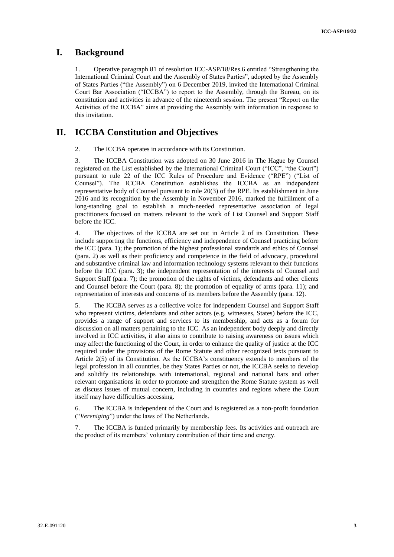### **I. Background**

1. Operative paragraph 81 of resolution ICC-ASP/18/Res.6 entitled "Strengthening the International Criminal Court and the Assembly of States Parties", adopted by the Assembly of States Parties ("the Assembly") on 6 December 2019, invited the International Criminal Court Bar Association ("ICCBA") to report to the Assembly, through the Bureau, on its constitution and activities in advance of the nineteenth session. The present "Report on the Activities of the ICCBA" aims at providing the Assembly with information in response to this invitation.

#### **II. ICCBA Constitution and Objectives**

2. The ICCBA operates in accordance with its Constitution.

3. The ICCBA Constitution was adopted on 30 June 2016 in The Hague by Counsel registered on the List established by the International Criminal Court ("ICC", "the Court") pursuant to rule 22 of the ICC Rules of Procedure and Evidence ("RPE") ("List of Counsel"). The ICCBA Constitution establishes the ICCBA as an independent representative body of Counsel pursuant to rule 20(3) of the RPE. Its establishment in June 2016 and its recognition by the Assembly in November 2016, marked the fulfillment of a long-standing goal to establish a much-needed representative association of legal practitioners focused on matters relevant to the work of List Counsel and Support Staff before the ICC.

4. The objectives of the ICCBA are set out in Article 2 of its Constitution. These include supporting the functions, efficiency and independence of Counsel practicing before the ICC (para. 1); the promotion of the highest professional standards and ethics of Counsel (para. 2) as well as their proficiency and competence in the field of advocacy, procedural and substantive criminal law and information technology systems relevant to their functions before the ICC (para. 3); the independent representation of the interests of Counsel and Support Staff (para. 7); the promotion of the rights of victims, defendants and other clients and Counsel before the Court (para. 8); the promotion of equality of arms (para. 11); and representation of interests and concerns of its members before the Assembly (para. 12).

5. The ICCBA serves as a collective voice for independent Counsel and Support Staff who represent victims, defendants and other actors (e.g. witnesses, States) before the ICC, provides a range of support and services to its membership, and acts as a forum for discussion on all matters pertaining to the ICC. As an independent body deeply and directly involved in ICC activities, it also aims to contribute to raising awareness on issues which may affect the functioning of the Court, in order to enhance the quality of justice at the ICC required under the provisions of the Rome Statute and other recognized texts pursuant to Article 2(5) of its Constitution. As the ICCBA's constituency extends to members of the legal profession in all countries, be they States Parties or not, the ICCBA seeks to develop and solidify its relationships with international, regional and national bars and other relevant organisations in order to promote and strengthen the Rome Statute system as well as discuss issues of mutual concern, including in countries and regions where the Court itself may have difficulties accessing.

6. The ICCBA is independent of the Court and is registered as a non-profit foundation ("*Vereniging*") under the laws of The Netherlands.

7. The ICCBA is funded primarily by membership fees. Its activities and outreach are the product of its members' voluntary contribution of their time and energy.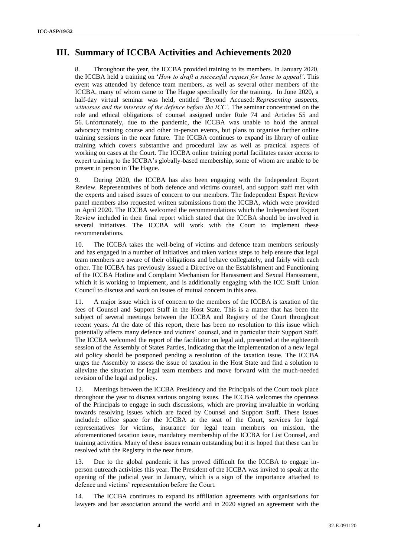### **III. Summary of ICCBA Activities and Achievements 2020**

8. Throughout the year, the ICCBA provided training to its members. In January 2020, the ICCBA held a training on '*How to draft a successful request for leave to appeal'*. This event was attended by defence team members, as well as several other members of the ICCBA, many of whom came to The Hague specifically for the training. In June 2020, a half-day virtual seminar was held, entitled 'Beyond Accused: *Representing suspects, witnesses and the interests of the defence before the ICC'.* The seminar concentrated on the role and ethical obligations of counsel assigned under Rule 74 and Articles 55 and 56. Unfortunately, due to the pandemic, the ICCBA was unable to hold the annual advocacy training course and other in-person events, but plans to organise further online training sessions in the near future. The ICCBA continues to expand its library of online training which covers substantive and procedural law as well as practical aspects of working on cases at the Court. The ICCBA online training portal facilitates easier access to expert training to the ICCBA's globally-based membership, some of whom are unable to be present in person in The Hague.

9. During 2020, the ICCBA has also been engaging with the Independent Expert Review. Representatives of both defence and victims counsel, and support staff met with the experts and raised issues of concern to our members. The Independent Expert Review panel members also requested written submissions from the ICCBA, which were provided in April 2020. The ICCBA welcomed the recommendations which the Independent Expert Review included in their final report which stated that the ICCBA should be involved in several initiatives. The ICCBA will work with the Court to implement these recommendations.

10. The ICCBA takes the well-being of victims and defence team members seriously and has engaged in a number of initiatives and taken various steps to help ensure that legal team members are aware of their obligations and behave collegiately, and fairly with each other. The ICCBA has previously issued a Directive on the Establishment and Functioning of the ICCBA Hotline and Complaint Mechanism for Harassment and Sexual Harassment, which it is working to implement, and is additionally engaging with the ICC Staff Union Council to discuss and work on issues of mutual concern in this area.

11. A major issue which is of concern to the members of the ICCBA is taxation of the fees of Counsel and Support Staff in the Host State. This is a matter that has been the subject of several meetings between the ICCBA and Registry of the Court throughout recent years. At the date of this report, there has been no resolution to this issue which potentially affects many defence and victims' counsel, and in particular their Support Staff. The ICCBA welcomed the report of the facilitator on legal aid, presented at the eighteenth session of the Assembly of States Parties, indicating that the implementation of a new legal aid policy should be postponed pending a resolution of the taxation issue. The ICCBA urges the Assembly to assess the issue of taxation in the Host State and find a solution to alleviate the situation for legal team members and move forward with the much-needed revision of the legal aid policy.

12. Meetings between the ICCBA Presidency and the Principals of the Court took place throughout the year to discuss various ongoing issues. The ICCBA welcomes the openness of the Principals to engage in such discussions, which are proving invaluable in working towards resolving issues which are faced by Counsel and Support Staff. These issues included: office space for the ICCBA at the seat of the Court, services for legal representatives for victims, insurance for legal team members on mission, the aforementioned taxation issue, mandatory membership of the ICCBA for List Counsel, and training activities. Many of these issues remain outstanding but it is hoped that these can be resolved with the Registry in the near future.

13. Due to the global pandemic it has proved difficult for the ICCBA to engage inperson outreach activities this year. The President of the ICCBA was invited to speak at the opening of the judicial year in January, which is a sign of the importance attached to defence and victims' representation before the Court.

14. The ICCBA continues to expand its affiliation agreements with organisations for lawyers and bar association around the world and in 2020 signed an agreement with the